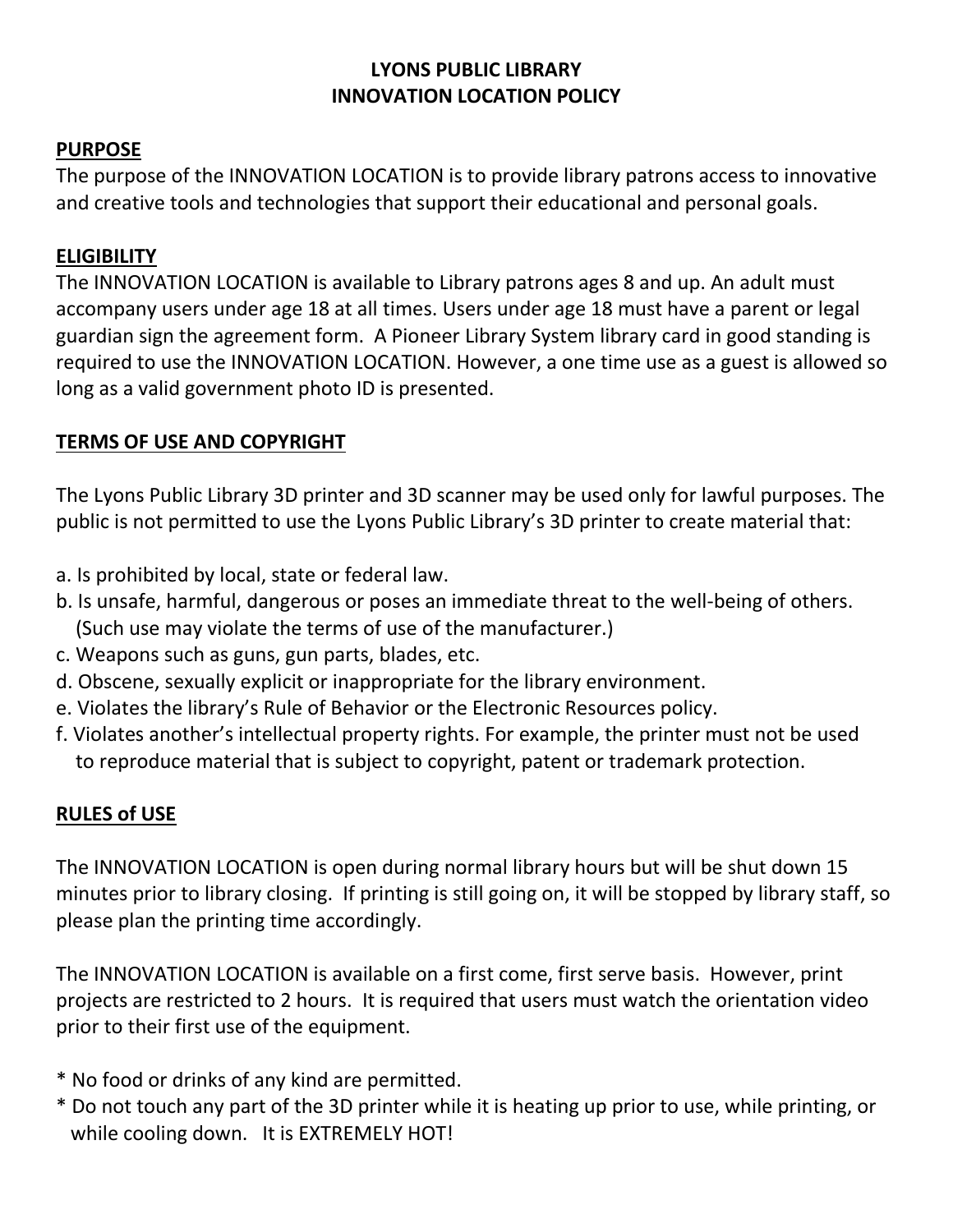### **LYONS PUBLIC LIBRARY INNOVATION LOCATION POLICY**

### **PURPOSE**

The purpose of the INNOVATION LOCATION is to provide library patrons access to innovative and creative tools and technologies that support their educational and personal goals.

## **ELIGIBILITY**

The INNOVATION LOCATION is available to Library patrons ages 8 and up. An adult must accompany users under age 18 at all times. Users under age 18 must have a parent or legal guardian sign the agreement form. A Pioneer Library System library card in good standing is required to use the INNOVATION LOCATION. However, a one time use as a guest is allowed so long as a valid government photo ID is presented.

## **TERMS OF USE AND COPYRIGHT**

The Lyons Public Library 3D printer and 3D scanner may be used only for lawful purposes. The public is not permitted to use the Lyons Public Library's 3D printer to create material that:

- a. Is prohibited by local, state or federal law.
- b. Is unsafe, harmful, dangerous or poses an immediate threat to the well-being of others. (Such use may violate the terms of use of the manufacturer.)
- c. Weapons such as guns, gun parts, blades, etc.
- d. Obscene, sexually explicit or inappropriate for the library environment.
- e. Violates the library's Rule of Behavior or the Electronic Resources policy.
- f. Violates another's intellectual property rights. For example, the printer must not be used to reproduce material that is subject to copyright, patent or trademark protection.

# **RULES of USE**

The INNOVATION LOCATION is open during normal library hours but will be shut down 15 minutes prior to library closing. If printing is still going on, it will be stopped by library staff, so please plan the printing time accordingly.

The INNOVATION LOCATION is available on a first come, first serve basis. However, print projects are restricted to 2 hours. It is required that users must watch the orientation video prior to their first use of the equipment.

- \* No food or drinks of any kind are permitted.
- \* Do not touch any part of the 3D printer while it is heating up prior to use, while printing, or while cooling down. It is EXTREMELY HOT!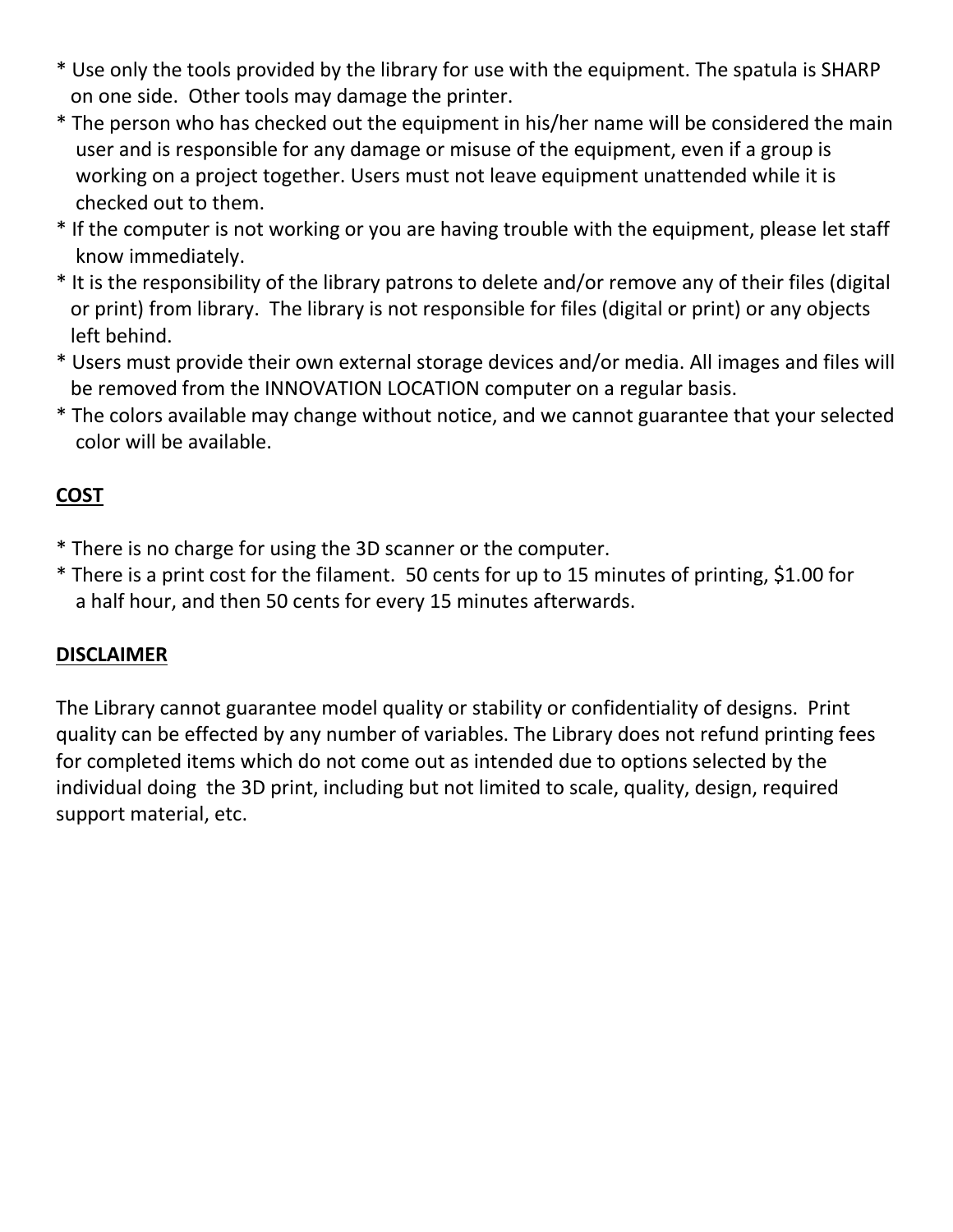- \* Use only the tools provided by the library for use with the equipment. The spatula is SHARP on one side. Other tools may damage the printer.
- \* The person who has checked out the equipment in his/her name will be considered the main user and is responsible for any damage or misuse of the equipment, even if a group is working on a project together. Users must not leave equipment unattended while it is checked out to them.
- \* If the computer is not working or you are having trouble with the equipment, please let staff know immediately.
- \* It is the responsibility of the library patrons to delete and/or remove any of their files (digital or print) from library. The library is not responsible for files (digital or print) or any objects left behind.
- \* Users must provide their own external storage devices and/or media. All images and files will be removed from the INNOVATION LOCATION computer on a regular basis.
- \* The colors available may change without notice, and we cannot guarantee that your selected color will be available.

# **COST**

- \* There is no charge for using the 3D scanner or the computer.
- \* There is a print cost for the filament. 50 cents for up to 15 minutes of printing, \$1.00 for a half hour, and then 50 cents for every 15 minutes afterwards.

# **DISCLAIMER**

The Library cannot guarantee model quality or stability or confidentiality of designs. Print quality can be effected by any number of variables. The Library does not refund printing fees for completed items which do not come out as intended due to options selected by the individual doing the 3D print, including but not limited to scale, quality, design, required support material, etc.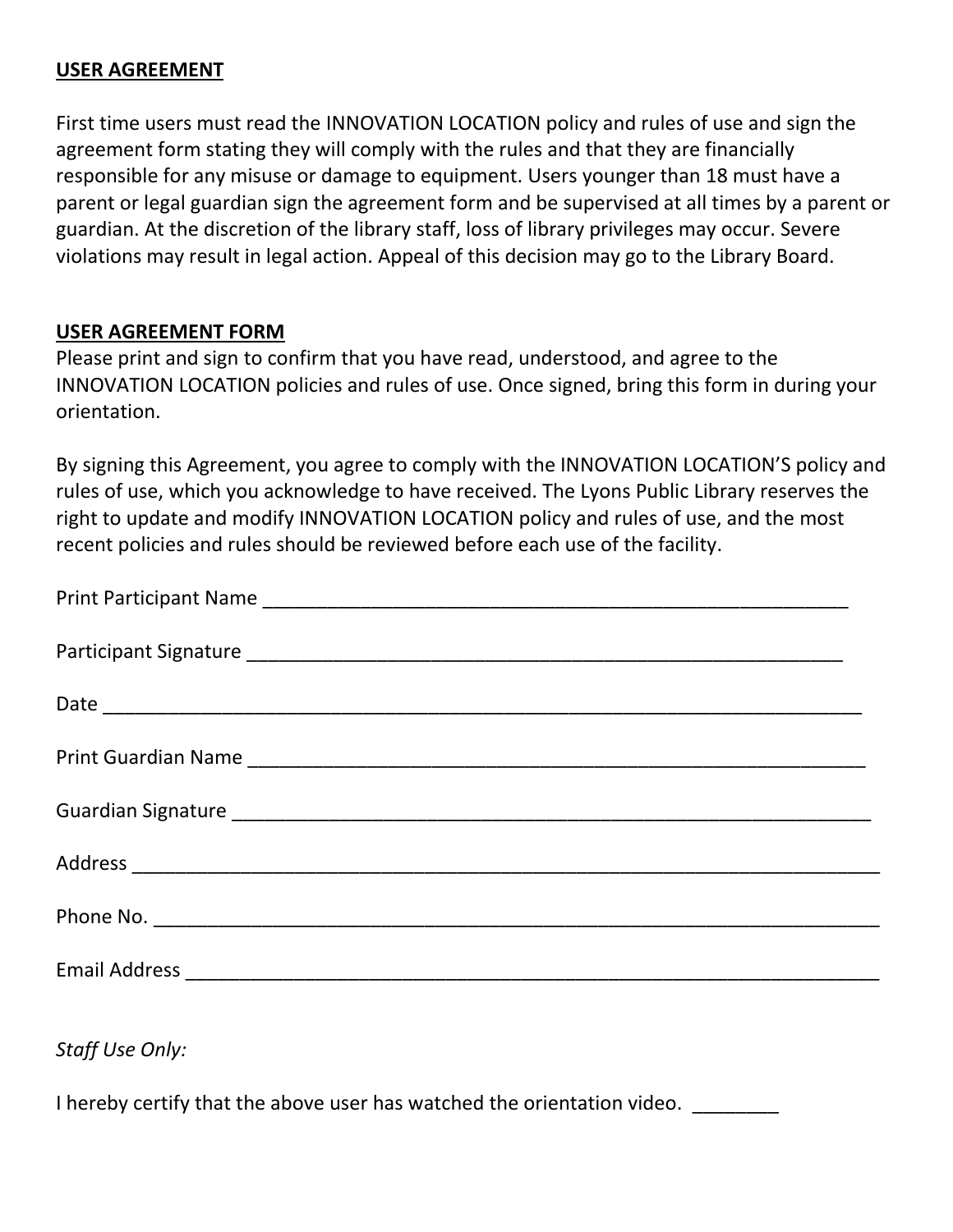#### **USER AGREEMENT**

First time users must read the INNOVATION LOCATION policy and rules of use and sign the agreement form stating they will comply with the rules and that they are financially responsible for any misuse or damage to equipment. Users younger than 18 must have a parent or legal guardian sign the agreement form and be supervised at all times by a parent or guardian. At the discretion of the library staff, loss of library privileges may occur. Severe violations may result in legal action. Appeal of this decision may go to the Library Board.

#### **USER AGREEMENT FORM**

Please print and sign to confirm that you have read, understood, and agree to the INNOVATION LOCATION policies and rules of use. Once signed, bring this form in during your orientation.

By signing this Agreement, you agree to comply with the INNOVATION LOCATION'S policy and rules of use, which you acknowledge to have received. The Lyons Public Library reserves the right to update and modify INNOVATION LOCATION policy and rules of use, and the most recent policies and rules should be reviewed before each use of the facility.

*Staff Use Only:*

I hereby certify that the above user has watched the orientation video.